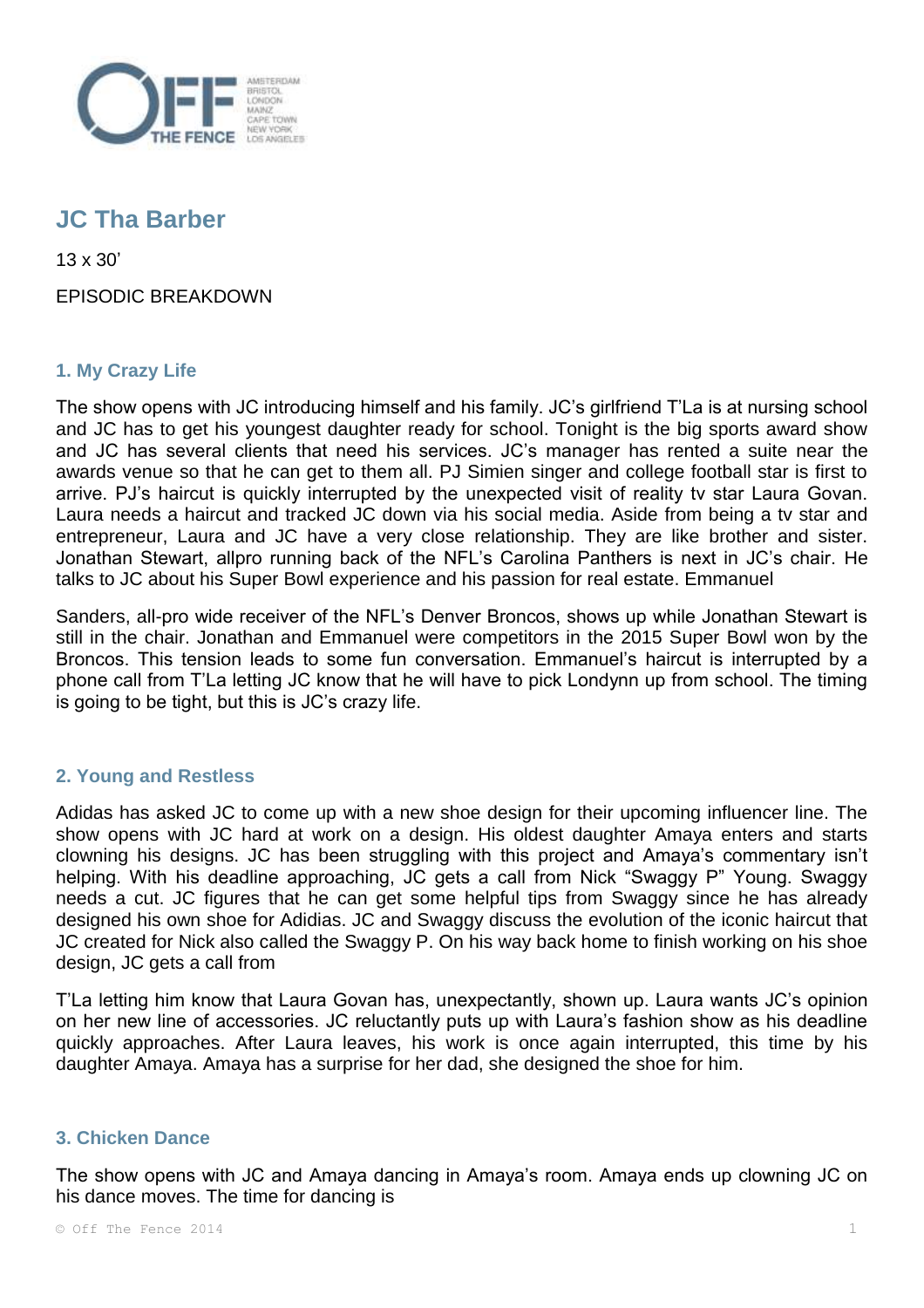

# **JC Tha Barber**

13 x 30'

EPISODIC BREAKDOWN

## **1. My Crazy Life**

The show opens with JC introducing himself and his family. JC's girlfriend T'La is at nursing school and JC has to get his youngest daughter ready for school. Tonight is the big sports award show and JC has several clients that need his services. JC's manager has rented a suite near the awards venue so that he can get to them all. PJ Simien singer and college football star is first to arrive. PJ's haircut is quickly interrupted by the unexpected visit of reality tv star Laura Govan. Laura needs a haircut and tracked JC down via his social media. Aside from being a tv star and entrepreneur, Laura and JC have a very close relationship. They are like brother and sister. Jonathan Stewart, allpro running back of the NFL's Carolina Panthers is next in JC's chair. He talks to JC about his Super Bowl experience and his passion for real estate. Emmanuel

Sanders, all-pro wide receiver of the NFL's Denver Broncos, shows up while Jonathan Stewart is still in the chair. Jonathan and Emmanuel were competitors in the 2015 Super Bowl won by the Broncos. This tension leads to some fun conversation. Emmanuel's haircut is interrupted by a phone call from T'La letting JC know that he will have to pick Londynn up from school. The timing is going to be tight, but this is JC's crazy life.

## **2. Young and Restless**

Adidas has asked JC to come up with a new shoe design for their upcoming influencer line. The show opens with JC hard at work on a design. His oldest daughter Amaya enters and starts clowning his designs. JC has been struggling with this project and Amaya's commentary isn't helping. With his deadline approaching, JC gets a call from Nick "Swaggy P" Young. Swaggy needs a cut. JC figures that he can get some helpful tips from Swaggy since he has already designed his own shoe for Adidias. JC and Swaggy discuss the evolution of the iconic haircut that JC created for Nick also called the Swaggy P. On his way back home to finish working on his shoe design, JC gets a call from

T'La letting him know that Laura Govan has, unexpectantly, shown up. Laura wants JC's opinion on her new line of accessories. JC reluctantly puts up with Laura's fashion show as his deadline quickly approaches. After Laura leaves, his work is once again interrupted, this time by his daughter Amaya. Amaya has a surprise for her dad, she designed the shoe for him.

## **3. Chicken Dance**

The show opens with JC and Amaya dancing in Amaya's room. Amaya ends up clowning JC on his dance moves. The time for dancing is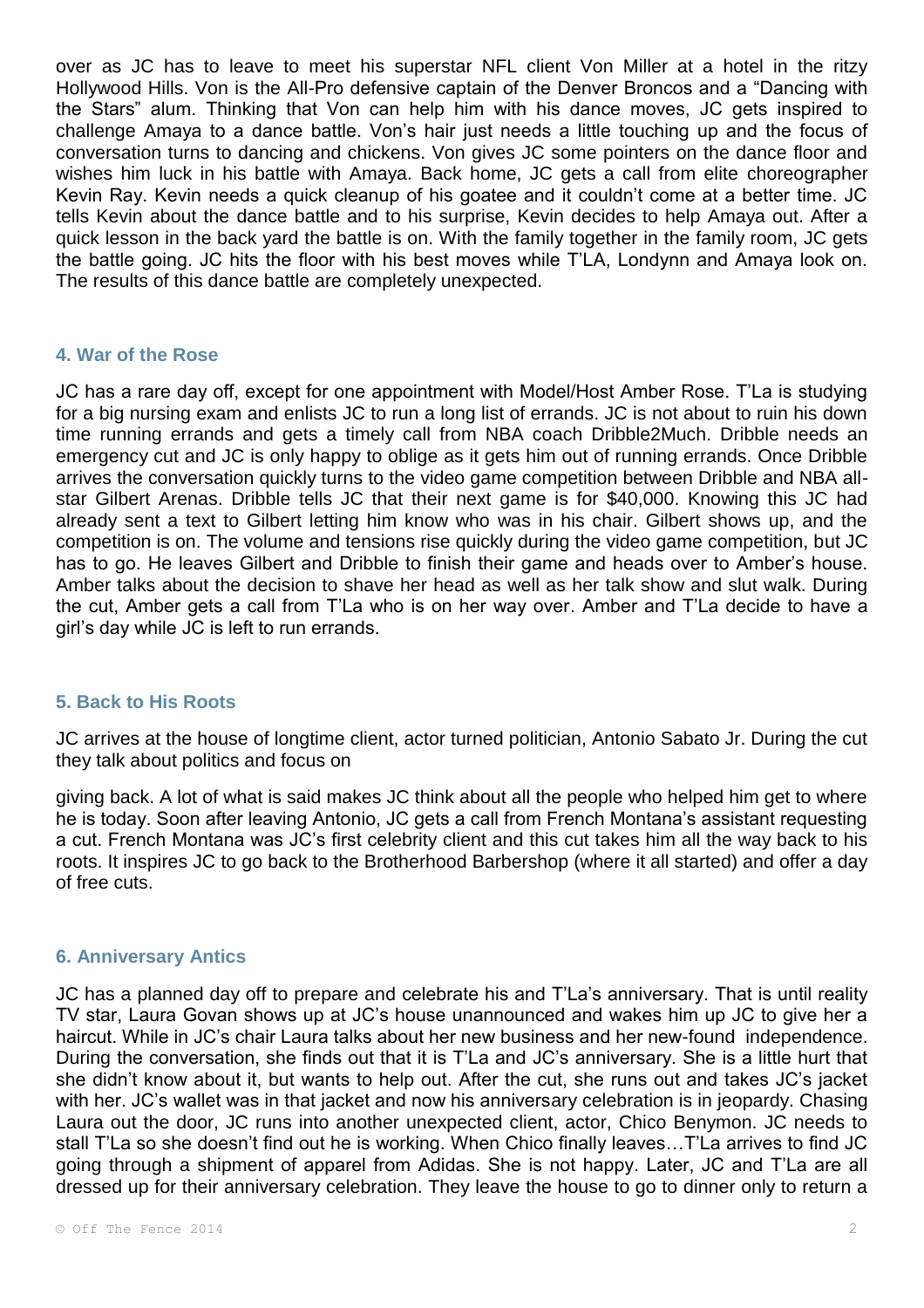over as JC has to leave to meet his superstar NFL client Von Miller at a hotel in the ritzy Hollywood Hills. Von is the All-Pro defensive captain of the Denver Broncos and a "Dancing with the Stars" alum. Thinking that Von can help him with his dance moves, JC gets inspired to challenge Amaya to a dance battle. Von's hair just needs a little touching up and the focus of conversation turns to dancing and chickens. Von gives JC some pointers on the dance floor and wishes him luck in his battle with Amaya. Back home, JC gets a call from elite choreographer Kevin Ray. Kevin needs a quick cleanup of his goatee and it couldn't come at a better time. JC tells Kevin about the dance battle and to his surprise, Kevin decides to help Amaya out. After a quick lesson in the back yard the battle is on. With the family together in the family room, JC gets the battle going. JC hits the floor with his best moves while T'LA, Londynn and Amaya look on. The results of this dance battle are completely unexpected.

## **4. War of the Rose**

JC has a rare day off, except for one appointment with Model/Host Amber Rose. T'La is studying for a big nursing exam and enlists JC to run a long list of errands. JC is not about to ruin his down time running errands and gets a timely call from NBA coach Dribble2Much. Dribble needs an emergency cut and JC is only happy to oblige as it gets him out of running errands. Once Dribble arrives the conversation quickly turns to the video game competition between Dribble and NBA allstar Gilbert Arenas. Dribble tells JC that their next game is for \$40,000. Knowing this JC had already sent a text to Gilbert letting him know who was in his chair. Gilbert shows up, and the competition is on. The volume and tensions rise quickly during the video game competition, but JC has to go. He leaves Gilbert and Dribble to finish their game and heads over to Amber's house. Amber talks about the decision to shave her head as well as her talk show and slut walk. During the cut, Amber gets a call from T'La who is on her way over. Amber and T'La decide to have a girl's day while JC is left to run errands.

## **5. Back to His Roots**

JC arrives at the house of longtime client, actor turned politician, Antonio Sabato Jr. During the cut they talk about politics and focus on

giving back. A lot of what is said makes JC think about all the people who helped him get to where he is today. Soon after leaving Antonio, JC gets a call from French Montana's assistant requesting a cut. French Montana was JC's first celebrity client and this cut takes him all the way back to his roots. It inspires JC to go back to the Brotherhood Barbershop (where it all started) and offer a day of free cuts.

## **6. Anniversary Antics**

JC has a planned day off to prepare and celebrate his and T'La's anniversary. That is until reality TV star, Laura Govan shows up at JC's house unannounced and wakes him up JC to give her a haircut. While in JC's chair Laura talks about her new business and her new-found independence. During the conversation, she finds out that it is T'La and JC's anniversary. She is a little hurt that she didn't know about it, but wants to help out. After the cut, she runs out and takes JC's jacket with her. JC's wallet was in that jacket and now his anniversary celebration is in jeopardy. Chasing Laura out the door, JC runs into another unexpected client, actor, Chico Benymon. JC needs to stall T'La so she doesn't find out he is working. When Chico finally leaves…T'La arrives to find JC going through a shipment of apparel from Adidas. She is not happy. Later, JC and T'La are all dressed up for their anniversary celebration. They leave the house to go to dinner only to return a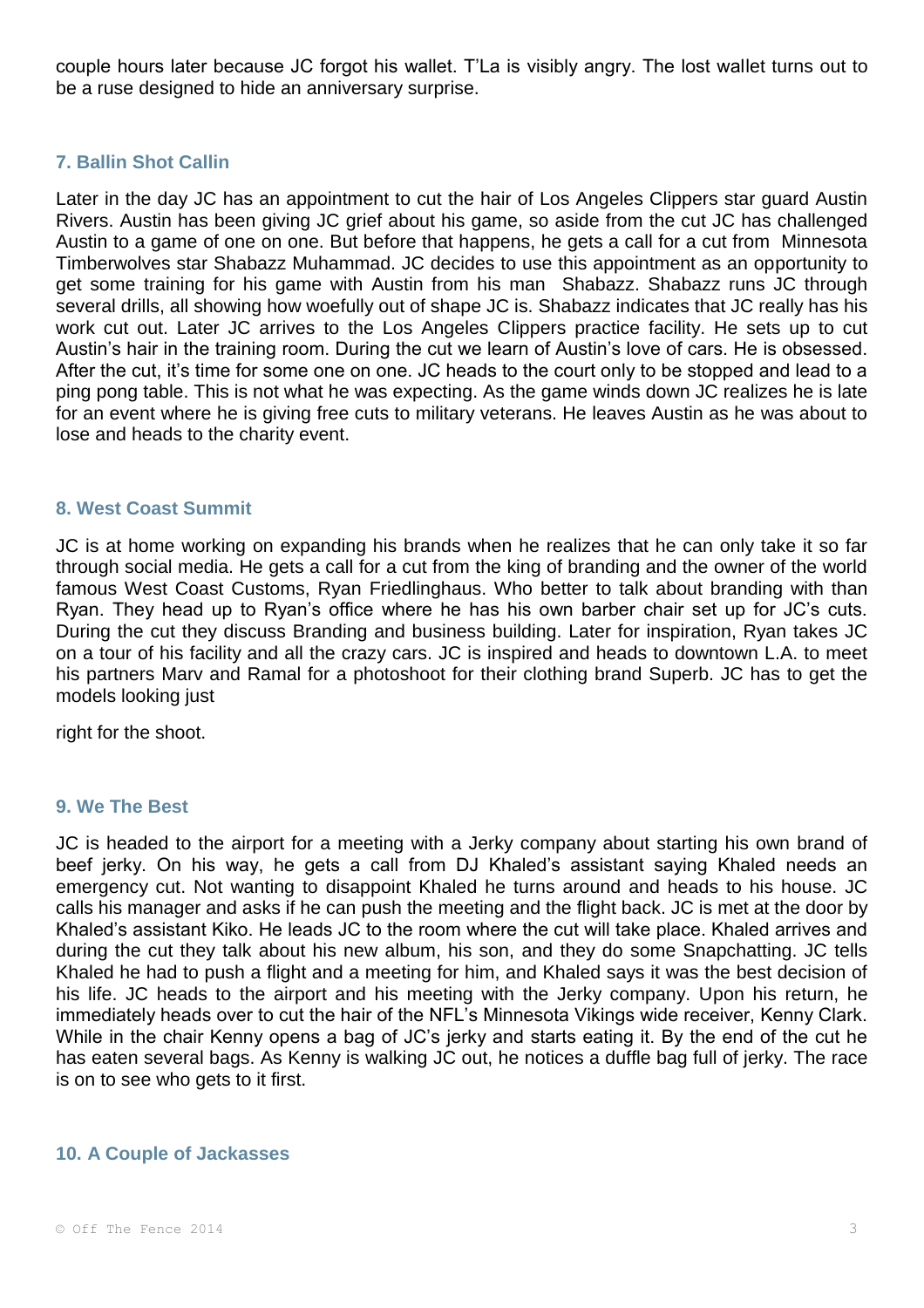couple hours later because JC forgot his wallet. T'La is visibly angry. The lost wallet turns out to be a ruse designed to hide an anniversary surprise.

## **7. Ballin Shot Callin**

Later in the day JC has an appointment to cut the hair of Los Angeles Clippers star guard Austin Rivers. Austin has been giving JC grief about his game, so aside from the cut JC has challenged Austin to a game of one on one. But before that happens, he gets a call for a cut from Minnesota Timberwolves star Shabazz Muhammad. JC decides to use this appointment as an opportunity to get some training for his game with Austin from his man Shabazz. Shabazz runs JC through several drills, all showing how woefully out of shape JC is. Shabazz indicates that JC really has his work cut out. Later JC arrives to the Los Angeles Clippers practice facility. He sets up to cut Austin's hair in the training room. During the cut we learn of Austin's love of cars. He is obsessed. After the cut, it's time for some one on one. JC heads to the court only to be stopped and lead to a ping pong table. This is not what he was expecting. As the game winds down JC realizes he is late for an event where he is giving free cuts to military veterans. He leaves Austin as he was about to lose and heads to the charity event.

## **8. West Coast Summit**

JC is at home working on expanding his brands when he realizes that he can only take it so far through social media. He gets a call for a cut from the king of branding and the owner of the world famous West Coast Customs, Ryan Friedlinghaus. Who better to talk about branding with than Ryan. They head up to Ryan's office where he has his own barber chair set up for JC's cuts. During the cut they discuss Branding and business building. Later for inspiration, Ryan takes JC on a tour of his facility and all the crazy cars. JC is inspired and heads to downtown L.A. to meet his partners Marv and Ramal for a photoshoot for their clothing brand Superb. JC has to get the models looking just

right for the shoot.

## **9. We The Best**

JC is headed to the airport for a meeting with a Jerky company about starting his own brand of beef jerky. On his way, he gets a call from DJ Khaled's assistant saying Khaled needs an emergency cut. Not wanting to disappoint Khaled he turns around and heads to his house. JC calls his manager and asks if he can push the meeting and the flight back. JC is met at the door by Khaled's assistant Kiko. He leads JC to the room where the cut will take place. Khaled arrives and during the cut they talk about his new album, his son, and they do some Snapchatting. JC tells Khaled he had to push a flight and a meeting for him, and Khaled says it was the best decision of his life. JC heads to the airport and his meeting with the Jerky company. Upon his return, he immediately heads over to cut the hair of the NFL's Minnesota Vikings wide receiver, Kenny Clark. While in the chair Kenny opens a bag of JC's jerky and starts eating it. By the end of the cut he has eaten several bags. As Kenny is walking JC out, he notices a duffle bag full of jerky. The race is on to see who gets to it first.

## **10. A Couple of Jackasses**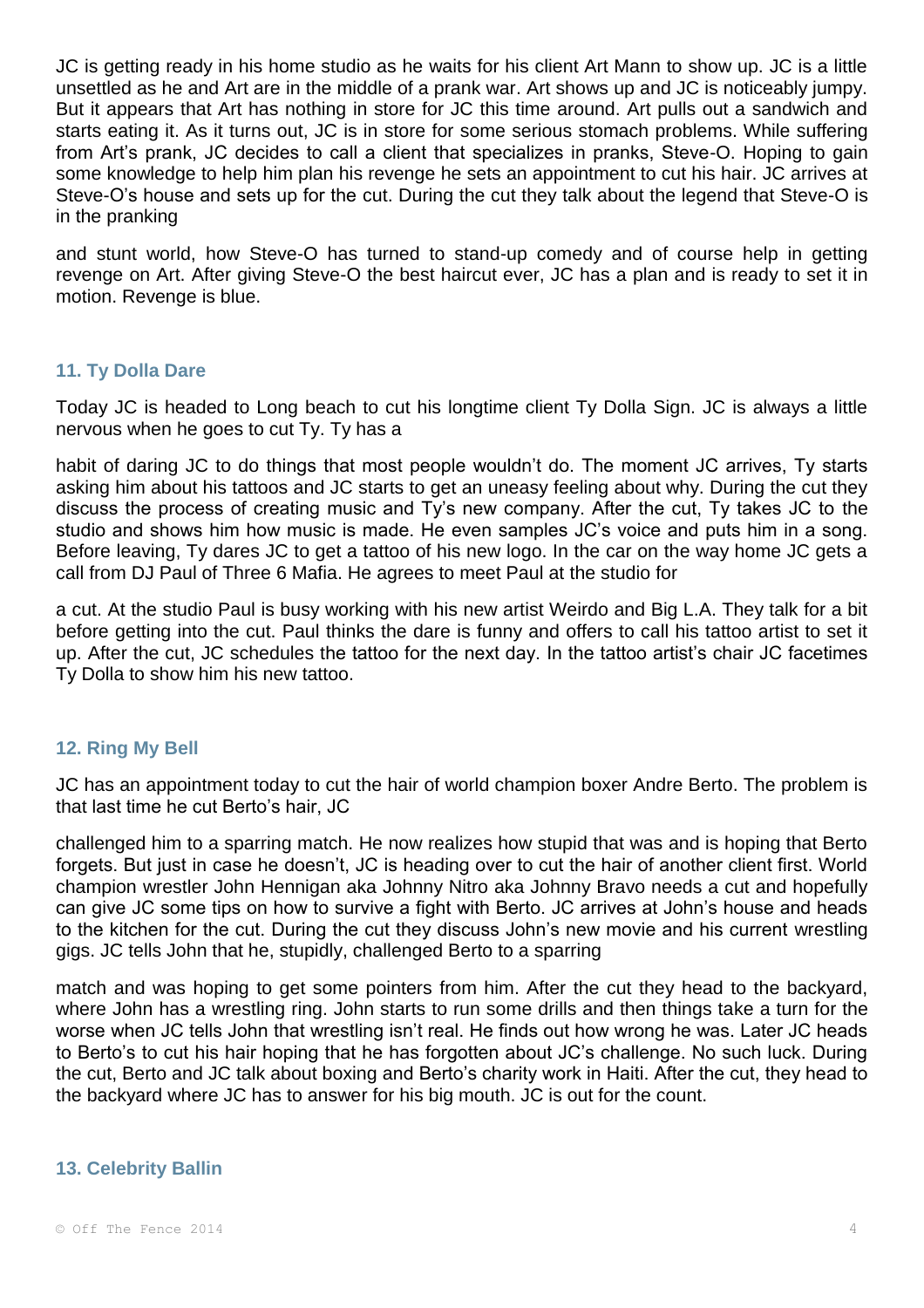JC is getting ready in his home studio as he waits for his client Art Mann to show up. JC is a little unsettled as he and Art are in the middle of a prank war. Art shows up and JC is noticeably jumpy. But it appears that Art has nothing in store for JC this time around. Art pulls out a sandwich and starts eating it. As it turns out, JC is in store for some serious stomach problems. While suffering from Art's prank, JC decides to call a client that specializes in pranks, Steve-O. Hoping to gain some knowledge to help him plan his revenge he sets an appointment to cut his hair. JC arrives at Steve-O's house and sets up for the cut. During the cut they talk about the legend that Steve-O is in the pranking

and stunt world, how Steve-O has turned to stand-up comedy and of course help in getting revenge on Art. After giving Steve-O the best haircut ever, JC has a plan and is ready to set it in motion. Revenge is blue.

## **11. Ty Dolla Dare**

Today JC is headed to Long beach to cut his longtime client Ty Dolla Sign. JC is always a little nervous when he goes to cut Ty. Ty has a

habit of daring JC to do things that most people wouldn't do. The moment JC arrives, Ty starts asking him about his tattoos and JC starts to get an uneasy feeling about why. During the cut they discuss the process of creating music and Ty's new company. After the cut, Ty takes JC to the studio and shows him how music is made. He even samples JC's voice and puts him in a song. Before leaving, Ty dares JC to get a tattoo of his new logo. In the car on the way home JC gets a call from DJ Paul of Three 6 Mafia. He agrees to meet Paul at the studio for

a cut. At the studio Paul is busy working with his new artist Weirdo and Big L.A. They talk for a bit before getting into the cut. Paul thinks the dare is funny and offers to call his tattoo artist to set it up. After the cut, JC schedules the tattoo for the next day. In the tattoo artist's chair JC facetimes Ty Dolla to show him his new tattoo.

## **12. Ring My Bell**

JC has an appointment today to cut the hair of world champion boxer Andre Berto. The problem is that last time he cut Berto's hair, JC

challenged him to a sparring match. He now realizes how stupid that was and is hoping that Berto forgets. But just in case he doesn't, JC is heading over to cut the hair of another client first. World champion wrestler John Hennigan aka Johnny Nitro aka Johnny Bravo needs a cut and hopefully can give JC some tips on how to survive a fight with Berto. JC arrives at John's house and heads to the kitchen for the cut. During the cut they discuss John's new movie and his current wrestling gigs. JC tells John that he, stupidly, challenged Berto to a sparring

match and was hoping to get some pointers from him. After the cut they head to the backyard, where John has a wrestling ring. John starts to run some drills and then things take a turn for the worse when JC tells John that wrestling isn't real. He finds out how wrong he was. Later JC heads to Berto's to cut his hair hoping that he has forgotten about JC's challenge. No such luck. During the cut, Berto and JC talk about boxing and Berto's charity work in Haiti. After the cut, they head to the backyard where JC has to answer for his big mouth. JC is out for the count.

## **13. Celebrity Ballin**